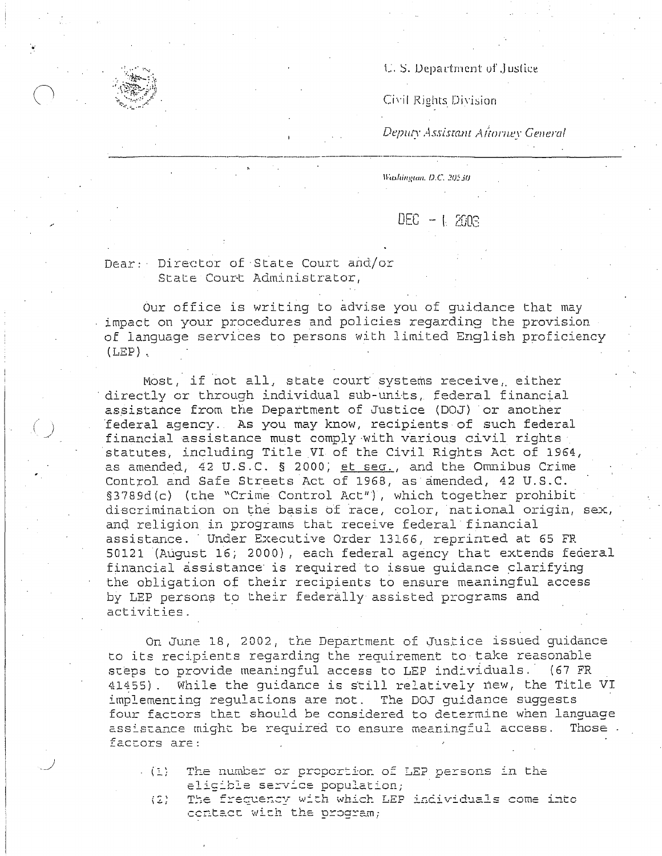U.S. Department of Justice

Civil Rights Division

Deputy Assistant Aftorney General

Washington, D.C. 20530

 $DEC - L 2003$ 

Dear: Director of State Court and/or State Court Administrator,

Our office is writing to advise you of quidance that may impact on your procedures and policies regarding the provision of language services to persons with limited English proficiency  $(LEP)$ .

Most, if not all, state court systems receive, either directly or through individual sub-units, federal financial assistance from the Department of Justice (DOJ) or another federal agency. As you may know, recipients of such federal financial assistance must comply with various civil rights statutes, including Title VI of the Civil Rights Act of 1964, as amended, 42 U.S.C. § 2000; et seq., and the Omnibus Crime Control and Safe Streets Act of 1968, as amended, 42 U.S.C. §3789d(c) (the "Crime Control Act"), which together prohibit discrimination on the basis of race, color, national origin, sex, and religion in programs that receive federal financial assistance. Under Executive Order 13166, reprinted at 65 FR 50121 (August 16; 2000), each federal agency that extends federal financial assistance is required to issue quidance clarifying the obligation of their recipients to ensure meaningful access by LEP persons to their federally assisted programs and activities.

On June 18, 2002, the Department of Justice issued guidance to its recipients regarding the requirement to take reasonable steps to provide meaningful access to LEP individuals. (67 FR 41455). While the guidance is still relatively new, the Title VI implementing regulations are not. The DOJ quidance suggests four factors that should be considered to determine when language assistance might be required to ensure meaningful access. Those factors are:

 $\mathcal{L}(\mathbb{R})$ The number or proportion of LEP persons in the eligible service population;

The frequency with which LEP individuals come into  $(2)$ contact with the program;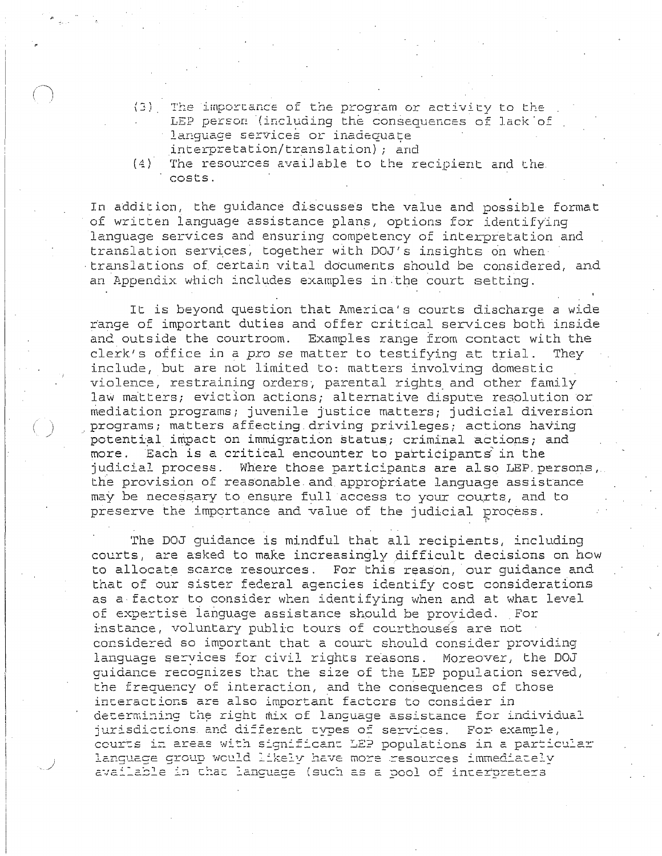- (3) The importance of the program or activity to the LEP person (including the consequences of lack of lanquage services or inadequate interpretation/translation); and
- $(4)$ The resources available to the recipient and the costs.

In addition, the guidance discusses the value and possible format of written language assistance plans, options for identifying language services and ensuring competency of interpretation and translation services, together with DOJ's insights on when translations of certain vital documents should be considered, and an Appendix which includes examples in the court setting.

It is beyond question that America's courts discharge a wide range of important duties and offer critical services both inside and outside the courtroom. Examples range from contact with the clerk's office in a pro se matter to testifying at trial. They include, but are not limited to: matters involving domestic violence, restraining orders, parental rights and other family law matters; eviction actions; alternative dispute resolution or mediation programs; juvenile justice matters; judicial diversion programs; matters affecting driving privileges; actions having potential impact on immigration status; criminal actions; and more. Each is a critical encounter to participants in the judicial process. Where those participants are also LEP persons, the provision of reasonable and appropriate language assistance may be necessary to ensure full access to your courts, and to preserve the importance and value of the judicial process.

The DOJ quidance is mindful that all recipients, including courts, are asked to make increasingly difficult decisions on how to allocate scarce resources. For this reason, our quidance and that of our sister federal agencies identify cost considerations as a factor to consider when identifying when and at what level of expertise language assistance should be provided. For instance, voluntary public tours of courthouses are not considered so important that a court should consider providing lanquage services for civil rights reasons. Moreover, the DOJ guidance recognizes that the size of the LEP population served, the frequency of interaction, and the consequences of those interactions are also important factors to consider in determining the right mix of language assistance for individual jurisdictions and different types of services. For example, courts in areas with significant LEP populations in a particular lanquage group would likely have more resources immediately available in that language (such as a pool of interpreters)